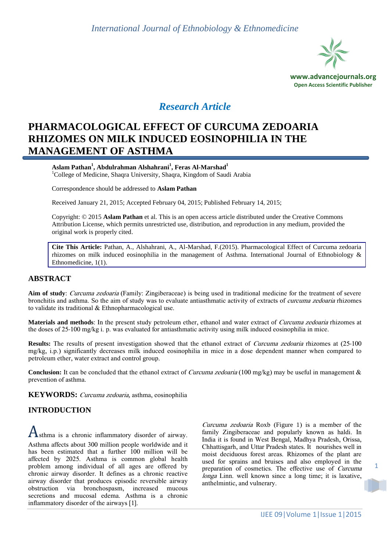

# *Research Article*

# **PHARMACOLOGICAL EFFECT OF CURCUMA ZEDOARIA RHIZOMES ON MILK INDUCED EOSINOPHILIA IN THE MANAGEMENT OF ASTHMA**

**Aslam Pathan<sup>1</sup> , Abdulrahman Alshahrani<sup>1</sup> , Feras Al-Marshad<sup>1</sup>** <sup>1</sup>College of Medicine, Shaqra University, Shaqra, Kingdom of Saudi Arabia

Correspondence should be addressed to **Aslam Pathan**

Received January 21, 2015; Accepted February 04, 2015; Published February 14, 2015;

Copyright: © 2015 **Aslam Pathan** et al. This is an open access article distributed under the Creative Commons Attribution License, which permits unrestricted use, distribution, and reproduction in any medium, provided the original work is properly cited.

**Cite This Article:** Pathan, A., Alshahrani, A., Al-Marshad, F.(2015). Pharmacological Effect of Curcuma zedoaria rhizomes on milk induced eosinophilia in the management of Asthma. International Journal of Ethnobiology & Ethnomedicine, 1(1).

### **ABSTRACT**

**Aim of study**: Curcuma zedoaria (Family: Zingiberaceae) is being used in traditional medicine for the treatment of severe bronchitis and asthma. So the aim of study was to evaluate antiasthmatic activity of extracts of curcuma zedoaria rhizomes to validate its traditional & Ethnopharmacological use.

**Materials and methods**: In the present study petroleum ether, ethanol and water extract of Curcuma zedoaria rhizomes at the doses of 25-100 mg/kg i. p. was evaluated for antiasthmatic activity using milk induced eosinophilia in mice.

**Results:** The results of present investigation showed that the ethanol extract of *Curcuma zedoaria* rhizomes at (25-100) mg/kg, i.p.) significantly decreases milk induced eosinophilia in mice in a dose dependent manner when compared to petroleum ether, water extract and control group.

**Conclusion:** It can be concluded that the ethanol extract of *Curcuma zedoaria* (100 mg/kg) may be useful in management & prevention of asthma.

**KEYWORDS:** Curcuma zedoaria, asthma, eosinophilia

## **INTRODUCTION**

Asthma is a chronic inflammatory disorder of airway.

Asthma affects about 300 million people worldwide and it has been estimated that a further 100 million will be affected by 2025. Asthma is common global health problem among individual of all ages are offered by chronic airway disorder. It defines as a chronic reactive airway disorder that produces episodic reversible airway obstruction via bronchospasm, increased mucous secretions and mucosal edema. Asthma is a chronic inflammatory disorder of the airways [\[1\].](#page-4-0)

Curcuma zedoaria Roxb ([Figure 1](#page-1-0)) is a member of the family Zingiberaceae and popularly known as haldi. In India it is found in West Bengal, Madhya Pradesh, Orissa, Chhattisgarh, and Uttar Pradesh states. It nourishes well in moist deciduous forest areas. Rhizomes of the plant are used for sprains and bruises and also employed in the preparation of cosmetics. The effective use of Curcuma longa Linn. well known since a long time; it is laxative, anthelmintic, and vulnerary.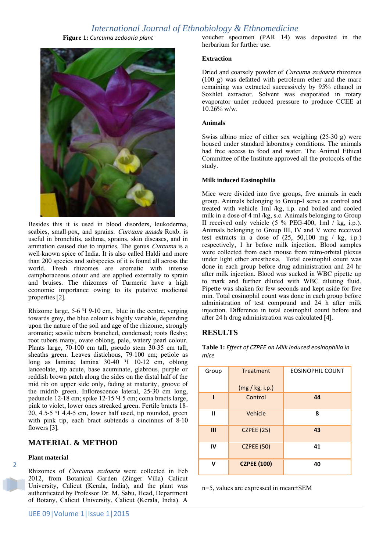# *International Journal of Ethnobiology & Ethnomedicine*

**Figure 1:** *Curcuma zedoaria plant*

<span id="page-1-0"></span>

Besides this it is used in blood disorders, leukoderma, scabies, small-pox, and sprains. Curcuma amada Roxb. is useful in bronchitis, asthma, sprains, skin diseases, and in ammation caused due to injuries. The genus Curcuma is a well-known spice of India. It is also called Haldi and more than 200 species and subspecies of it is found all across the world. Fresh rhizomes are aromatic with intense camphoraceous odour and are applied externally to sprain and bruises. The rhizomes of Turmeric have a high economic importance owing to its putative medicinal propertie[s \[2\].](#page-4-1)

Rhizome large, 5-6 Y 9-10 cm, blue in the centre, verging towards grey, the blue colour is highly variable, depending upon the nature of the soil and age of the rhizome, strongly aromatic; sessile tubers branched, condensed; roots fleshy; root tubers many, ovate oblong, pale, watery pearl colour. Plants large, 70-100 cm tall, pseudo stem 30-35 cm tall, sheaths green. Leaves distichous, 79-100 cm; petiole as long as lamina; lamina  $30-40$  <sup>4</sup>  $10-12$  cm, oblong lanceolate, tip acute, base acuminate, glabrous, purple or reddish brown patch along the sides on the distal half of the mid rib on upper side only, fading at maturity, groove of the midrib green. Inflorescence lateral, 25-30 cm long, peduncle 12-18 cm; spike 12-15 Y 5 cm; coma bracts large, pink to violet, lower ones streaked green. Fertile bracts 18-  $20, 4.5$ -5  $\overline{4}$  4.4-5 cm, lower half used, tip rounded, green with pink tip, each bract subtends a cincinnus of 8-10 flowers [\[3\].](#page-4-2)

### **MATERIAL & METHOD**

#### **Plant material**

2

Rhizomes of Curcuma zedoaria were collected in Feb 2012, from Botanical Garden (Zinger Villa) Calicut University, Calicut (Kerala, India), and the plant was authenticated by Professor Dr. M. Sabu, Head, Department of Botany, Calicut University, Calicut (Kerala, India). A voucher specimen (PAR 14) was deposited in the herbarium for further use.

#### **Extraction**

Dried and coarsely powder of Curcuma zedoaria rhizomes (100 g) was defatted with petroleum ether and the marc remaining was extracted successively by 95% ethanol in Soxhlet extractor. Solvent was evaporated in rotary evaporator under reduced pressure to produce CCEE at  $10.\overline{26\%}$  w/w.

#### **Animals**

Swiss albino mice of either sex weighing (25-30 g) were housed under standard laboratory conditions. The animals had free access to food and water. The Animal Ethical Committee of the Institute approved all the protocols of the study.

#### **Milk induced Eosinophilia**

Mice were divided into five groups, five animals in each group. Animals belonging to Group-I serve as control and treated with vehicle 1ml /kg, i.p. and boiled and cooled milk in a dose of 4 ml /kg, s.c. Animals belonging to Group II received only vehicle  $(5 \% \text{ PEG-400}, 1 \text{m}1 / \text{kg}, i.p.).$ Animals belonging to Group III, IV and V were received test extracts in a dose of  $(25, 50,100 \text{ mg} / \text{kg}, \text{i.p.})$ respectively, 1 hr before milk injection. Blood samples were collected from each mouse from retro-orbital plexus under light ether anesthesia. Total eosinophil count was done in each group before drug administration and 24 hr after milk injection. Blood was sucked in WBC pipette up to mark and further diluted with WBC diluting fluid. Pipette was shaken for few seconds and kept aside for five min. Total eosinophil count was done in each group before administration of test compound and 24 h after milk injection. Difference in total eosinophil count before and after 24 h drug administration was calculated [\[4\].](#page-4-3)

#### **RESULTS**

<span id="page-1-1"></span>**Table 1:** *Effect of CZPEE on Milk induced eosinophilia in mice*

| Group | Treatment          | <b>EOSINOPHIL COUNT</b> |
|-------|--------------------|-------------------------|
|       | (mg / kg, i.p.)    |                         |
|       | Control            | 44                      |
| Ш     | Vehicle            | 8                       |
| Ш     | <b>CZPEE (25)</b>  | 43                      |
| IV    | <b>CZPEE (50)</b>  | 41                      |
|       | <b>CZPEE (100)</b> | 40                      |

n=5, values are expressed in mean±SEM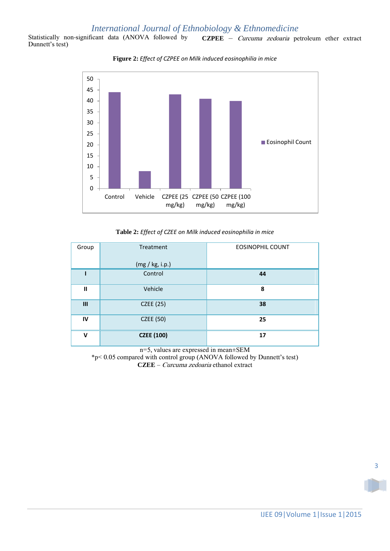# *International Journal of Ethnobiology & Ethnomedicine*

<span id="page-2-0"></span>Statistically non-significant data (ANOVA followed by Dunnett's test) **CZPEE** – Curcuma zedoaria petroleum ether extract





**Table 2:** *Effect of CZEE on Milk induced eosinophilia in mice*

<span id="page-2-1"></span>

| Group        | Treatment         | <b>EOSINOPHIL COUNT</b> |
|--------------|-------------------|-------------------------|
|              | (mg / kg, i.p.)   |                         |
|              | Control           | 44                      |
| $\mathbf{I}$ | Vehicle           | 8                       |
| Ш            | <b>CZEE</b> (25)  | 38                      |
| IV           | CZEE (50)         | 25                      |
| $\mathbf v$  | <b>CZEE (100)</b> | 17                      |

n=5, values are expressed in mean±SEM

\*p< 0.05 compared with control group (ANOVA followed by Dunnett's test) **CZEE** – Curcuma zedoaria ethanol extract

3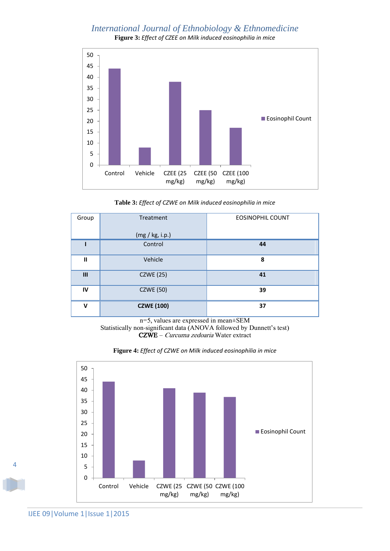# *International Journal of Ethnobiology & Ethnomedicine* **Figure 3:** *Effect of CZEE on Milk induced eosinophilia in mice*

<span id="page-3-2"></span>

**Table 3:** *Effect of CZWE on Milk induced eosinophilia in mice*

<span id="page-3-0"></span>

| Group          | Treatment         | <b>EOSINOPHIL COUNT</b> |
|----------------|-------------------|-------------------------|
|                | (mg / kg, i.p.)   |                         |
|                | Control           | 44                      |
| $\mathbf{I}$   | Vehicle           | 8                       |
| $\mathbf{III}$ | <b>CZWE</b> (25)  | 41                      |
| IV             | <b>CZWE (50)</b>  | 39                      |
| $\mathbf v$    | <b>CZWE</b> (100) | 37                      |

n=5, values are expressed in mean±SEM Statistically non-significant data (ANOVA followed by Dunnett's test) CZWE – Curcuma zedoaria Water extract

<span id="page-3-1"></span>



4